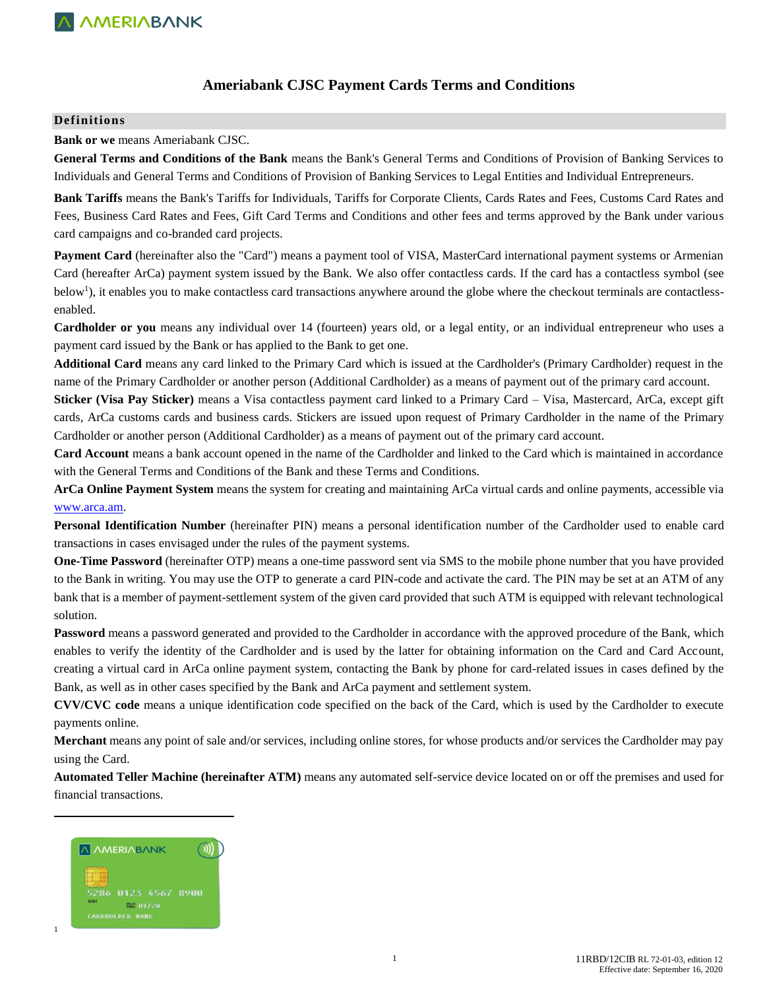## **Ameriabank CJSC Payment Cards Terms and Conditions**

### **Definitions**

#### **Bank or we** means Ameriabank CJSC.

**General Terms and Conditions of the Bank** means the Bank's General Terms and Conditions of Provision of Banking Services to Individuals and General Terms and Conditions of Provision of Banking Services to Legal Entities and Individual Entrepreneurs.

**Bank Tariffs** means the Bank's Tariffs for Individuals, Tariffs for Corporate Clients, Cards Rates and Fees, Customs Card Rates and Fees, Business Card Rates and Fees, Gift Card Terms and Conditions and other fees and terms approved by the Bank under various card campaigns and co-branded card projects.

**Payment Card** (hereinafter also the "Card") means a payment tool of VISA, MasterCard international payment systems or Armenian Card (hereafter ArCa) payment system issued by the Bank. We also offer contactless cards. If the card has a contactless symbol (see below<sup>1</sup>), it enables you to make contactless card transactions anywhere around the globe where the checkout terminals are contactlessenabled.

**Cardholder or you** means any individual over 14 (fourteen) years old, or a legal entity, or an individual entrepreneur who uses a payment card issued by the Bank or has applied to the Bank to get one.

**Additional Card** means any card linked to the Primary Card which is issued at the Cardholder's (Primary Cardholder) request in the name of the Primary Cardholder or another person (Additional Cardholder) as a means of payment out of the primary card account.

**Sticker (Visa Pay Sticker)** means a Visa contactless payment card linked to a Primary Card – Visa, Mastercard, ArCa, except gift cards, ArCa customs cards and business cards. Stickers are issued upon request of Primary Cardholder in the name of the Primary Cardholder or another person (Additional Cardholder) as a means of payment out of the primary card account.

**Card Account** means a bank account opened in the name of the Cardholder and linked to the Card which is maintained in accordance with the General Terms and Conditions of the Bank and these Terms and Conditions.

**ArCa Online Payment System** means the system for creating and maintaining ArCa virtual cards and online payments, accessible via [www.arca.am.](http://www.arca.am/)

**Personal Identification Number** (hereinafter PIN) means a personal identification number of the Cardholder used to enable card transactions in cases envisaged under the rules of the payment systems.

**One-Time Password** (hereinafter OTP) means a one-time password sent via SMS to the mobile phone number that you have provided to the Bank in writing. You may use the OTP to generate a card PIN-code and activate the card. The PIN may be set at an ATM of any bank that is a member of payment-settlement system of the given card provided that such ATM is equipped with relevant technological solution.

**Password** means a password generated and provided to the Cardholder in accordance with the approved procedure of the Bank, which enables to verify the identity of the Cardholder and is used by the latter for obtaining information on the Card and Card Account, creating a virtual card in ArCa online payment system, contacting the Bank by phone for card-related issues in cases defined by the Bank, as well as in other cases specified by the Bank and ArCa payment and settlement system.

**CVV/CVC code** means a unique identification code specified on the back of the Card, which is used by the Cardholder to execute payments online.

**Merchant** means any point of sale and/or services, including online stores, for whose products and/or services the Cardholder may pay using the Card.

**Automated Teller Machine (hereinafter ATM)** means any automated self-service device located on or off the premises and used for financial transactions.



 $\overline{\phantom{a}}$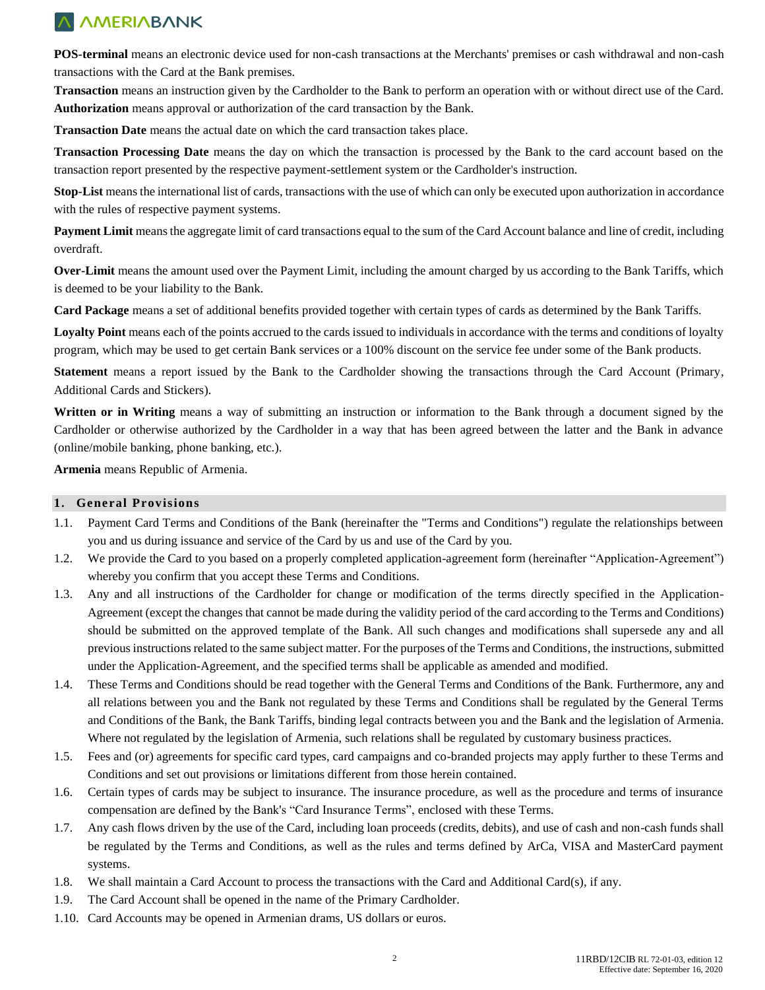**POS-terminal** means an electronic device used for non-cash transactions at the Merchants' premises or cash withdrawal and non-cash transactions with the Card at the Bank premises.

**Transaction** means an instruction given by the Cardholder to the Bank to perform an operation with or without direct use of the Card. **Authorization** means approval or authorization of the card transaction by the Bank.

**Transaction Date** means the actual date on which the card transaction takes place.

**Transaction Processing Date** means the day on which the transaction is processed by the Bank to the card account based on the transaction report presented by the respective payment-settlement system or the Cardholder's instruction.

**Stop-List** means the international list of cards, transactions with the use of which can only be executed upon authorization in accordance with the rules of respective payment systems.

**Payment Limit** means the aggregate limit of card transactions equal to the sum of the Card Account balance and line of credit, including overdraft.

**Over-Limit** means the amount used over the Payment Limit, including the amount charged by us according to the Bank Tariffs, which is deemed to be your liability to the Bank.

**Card Package** means a set of additional benefits provided together with certain types of cards as determined by the Bank Tariffs.

**Loyalty Point** means each of the points accrued to the cards issued to individuals in accordance with the terms and conditions of loyalty program, which may be used to get certain Bank services or a 100% discount on the service fee under some of the Bank products.

**Statement** means a report issued by the Bank to the Cardholder showing the transactions through the Card Account (Primary, Additional Cards and Stickers).

**Written or in Writing** means a way of submitting an instruction or information to the Bank through a document signed by the Cardholder or otherwise authorized by the Cardholder in a way that has been agreed between the latter and the Bank in advance (online/mobile banking, phone banking, etc.).

**Armenia** means Republic of Armenia.

#### **1. General Provisions**

- 1.1. Payment Card Terms and Conditions of the Bank (hereinafter the "Terms and Conditions") regulate the relationships between you and us during issuance and service of the Card by us and use of the Card by you.
- 1.2. We provide the Card to you based on a properly completed application-agreement form (hereinafter "Application-Agreement") whereby you confirm that you accept these Terms and Conditions.
- 1.3. Any and all instructions of the Cardholder for change or modification of the terms directly specified in the Application-Agreement (except the changes that cannot be made during the validity period of the card according to the Terms and Conditions) should be submitted on the approved template of the Bank. All such changes and modifications shall supersede any and all previous instructions related to the same subject matter. For the purposes of the Terms and Conditions, the instructions, submitted under the Application-Agreement, and the specified terms shall be applicable as amended and modified.
- 1.4. These Terms and Conditions should be read together with the General Terms and Conditions of the Bank. Furthermore, any and all relations between you and the Bank not regulated by these Terms and Conditions shall be regulated by the General Terms and Conditions of the Bank, the Bank Tariffs, binding legal contracts between you and the Bank and the legislation of Armenia. Where not regulated by the legislation of Armenia, such relations shall be regulated by customary business practices.
- 1.5. Fees and (or) agreements for specific card types, card campaigns and co-branded projects may apply further to these Terms and Conditions and set out provisions or limitations different from those herein contained.
- 1.6. Certain types of cards may be subject to insurance. The insurance procedure, as well as the procedure and terms of insurance compensation are defined by the Bank's "Card Insurance Terms", enclosed with these Terms.
- 1.7. Any cash flows driven by the use of the Card, including loan proceeds (credits, debits), and use of cash and non-cash funds shall be regulated by the Terms and Conditions, as well as the rules and terms defined by ArCa, VISA and MasterCard payment systems.
- 1.8. We shall maintain a Card Account to process the transactions with the Card and Additional Card(s), if any.
- 1.9. The Card Account shall be opened in the name of the Primary Cardholder.
- 1.10. Card Accounts may be opened in Armenian drams, US dollars or euros.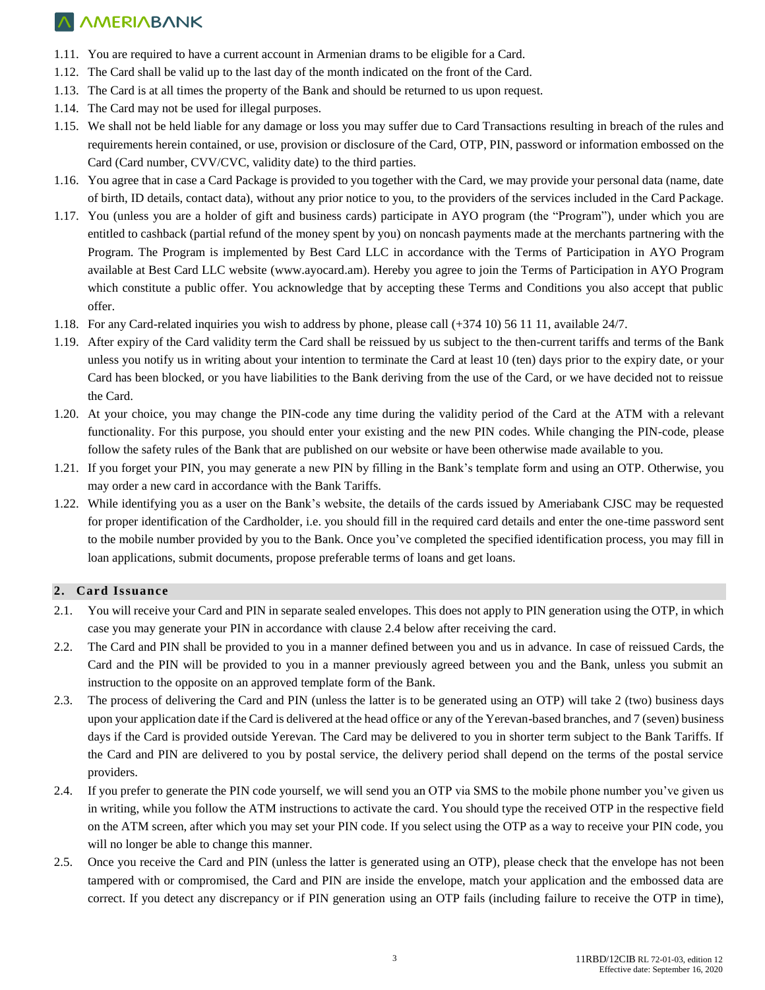- 1.11. You are required to have a current account in Armenian drams to be eligible for a Card.
- 1.12. The Card shall be valid up to the last day of the month indicated on the front of the Card.
- 1.13. The Card is at all times the property of the Bank and should be returned to us upon request.
- 1.14. The Card may not be used for illegal purposes.
- 1.15. We shall not be held liable for any damage or loss you may suffer due to Card Transactions resulting in breach of the rules and requirements herein contained, or use, provision or disclosure of the Card, OTP, PIN, password or information embossed on the Card (Card number, CVV/CVC, validity date) to the third parties.
- 1.16. You agree that in case a Card Package is provided to you together with the Card, we may provide your personal data (name, date of birth, ID details, contact data), without any prior notice to you, to the providers of the services included in the Card Package.
- 1.17. You (unless you are a holder of gift and business cards) participate in AYO program (the "Program"), under which you are entitled to cashback (partial refund of the money spent by you) on noncash payments made at the merchants partnering with the Program. The Program is implemented by Best Card LLC in accordance with the Terms of Participation in AYO Program available at Best Card LLC website [\(www.ayocard.am\)](http://www.ayocard.am/). Hereby you agree to join the Terms of Participation in AYO Program which constitute a public offer. You acknowledge that by accepting these Terms and Conditions you also accept that public offer.
- 1.18. For any Card-related inquiries you wish to address by phone, please call (+374 10) 56 11 11, available 24/7.
- 1.19. After expiry of the Card validity term the Card shall be reissued by us subject to the then-current tariffs and terms of the Bank unless you notify us in writing about your intention to terminate the Card at least 10 (ten) days prior to the expiry date, or your Card has been blocked, or you have liabilities to the Bank deriving from the use of the Card, or we have decided not to reissue the Card.
- 1.20. At your choice, you may change the PIN-code any time during the validity period of the Card at the ATM with a relevant functionality. For this purpose, you should enter your existing and the new PIN codes. While changing the PIN-code, please follow the safety rules of the Bank that are published on our website or have been otherwise made available to you.
- 1.21. If you forget your PIN, you may generate a new PIN by filling in the Bank's template form and using an OTP. Otherwise, you may order a new card in accordance with the Bank Tariffs.
- 1.22. While identifying you as a user on the Bank's website, the details of the cards issued by Ameriabank CJSC may be requested for proper identification of the Cardholder, i.e. you should fill in the required card details and enter the one-time password sent to the mobile number provided by you to the Bank. Once you've completed the specified identification process, you may fill in loan applications, submit documents, propose preferable terms of loans and get loans.

### **2. Card Issuance**

- 2.1. You will receive your Card and PIN in separate sealed envelopes. This does not apply to PIN generation using the OTP, in which case you may generate your PIN in accordance with clause 2.4 below after receiving the card.
- 2.2. The Card and PIN shall be provided to you in a manner defined between you and us in advance. In case of reissued Cards, the Card and the PIN will be provided to you in a manner previously agreed between you and the Bank, unless you submit an instruction to the opposite on an approved template form of the Bank.
- 2.3. The process of delivering the Card and PIN (unless the latter is to be generated using an OTP) will take 2 (two) business days upon your application date if the Card is delivered at the head office or any of the Yerevan-based branches, and 7 (seven) business days if the Card is provided outside Yerevan. The Card may be delivered to you in shorter term subject to the Bank Tariffs. If the Card and PIN are delivered to you by postal service, the delivery period shall depend on the terms of the postal service providers.
- 2.4. If you prefer to generate the PIN code yourself, we will send you an OTP via SMS to the mobile phone number you've given us in writing, while you follow the ATM instructions to activate the card. You should type the received OTP in the respective field on the ATM screen, after which you may set your PIN code. If you select using the OTP as a way to receive your PIN code, you will no longer be able to change this manner.
- 2.5. Once you receive the Card and PIN (unless the latter is generated using an OTP), please check that the envelope has not been tampered with or compromised, the Card and PIN are inside the envelope, match your application and the embossed data are correct. If you detect any discrepancy or if PIN generation using an OTP fails (including failure to receive the OTP in time),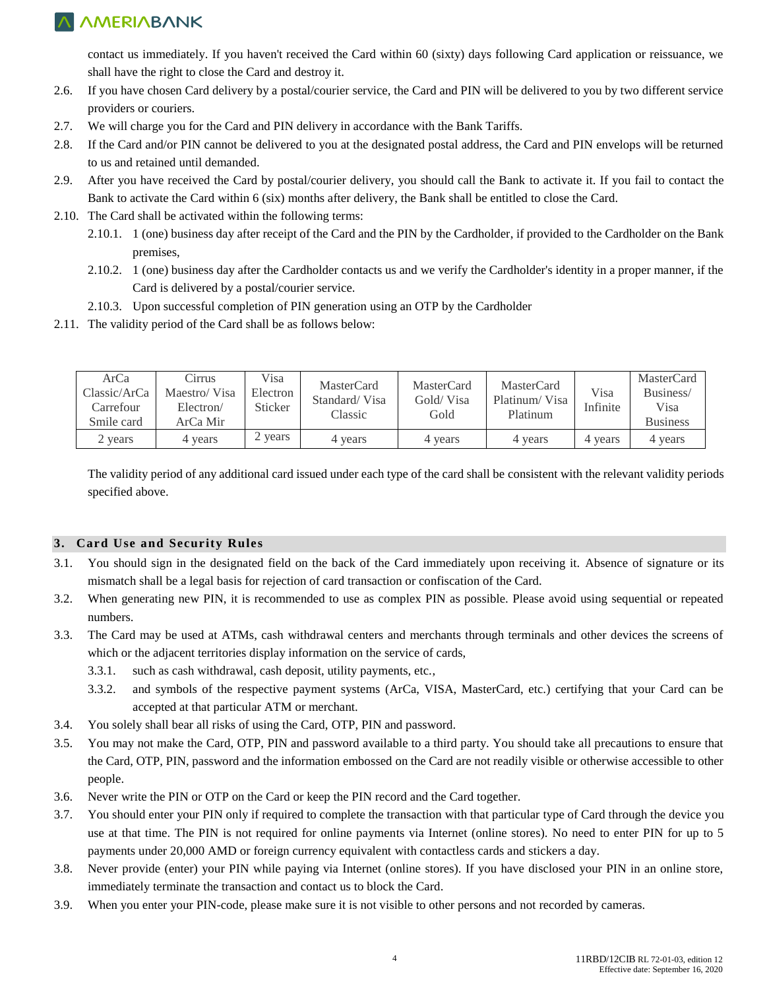contact us immediately. If you haven't received the Card within 60 (sixty) days following Card application or reissuance, we shall have the right to close the Card and destroy it.

- 2.6. If you have chosen Card delivery by a postal/courier service, the Card and PIN will be delivered to you by two different service providers or couriers.
- 2.7. We will charge you for the Card and PIN delivery in accordance with the Bank Tariffs.
- 2.8. If the Card and/or PIN cannot be delivered to you at the designated postal address, the Card and PIN envelops will be returned to us and retained until demanded.
- 2.9. After you have received the Card by postal/courier delivery, you should call the Bank to activate it. If you fail to contact the Bank to activate the Card within 6 (six) months after delivery, the Bank shall be entitled to close the Card.
- 2.10. The Card shall be activated within the following terms:
	- 2.10.1. 1 (one) business day after receipt of the Card and the PIN by the Cardholder, if provided to the Cardholder on the Bank premises,
	- 2.10.2. 1 (one) business day after the Cardholder contacts us and we verify the Cardholder's identity in a proper manner, if the Card is delivered by a postal/courier service.
	- 2.10.3. Upon successful completion of PIN generation using an OTP by the Cardholder
- 2.11. The validity period of the Card shall be as follows below:

| ArCa<br>Classic/ArCa<br>Carrefour<br>Smile card | Cirrus<br>Maestro/Visa<br>Electron/<br>ArCa Mir | Visa<br>Electron<br>Sticker | MasterCard<br>Standard/Visa<br>Classic | MasterCard<br>Gold/Visa<br>Gold | MasterCard<br>Platinum/Visa<br>Platinum | Visa<br>Infinite | <b>MasterCard</b><br>Business/<br>Visa<br><b>Business</b> |
|-------------------------------------------------|-------------------------------------------------|-----------------------------|----------------------------------------|---------------------------------|-----------------------------------------|------------------|-----------------------------------------------------------|
| 2 years                                         | 4 years                                         | years                       | 4 years                                | years                           | 4 years                                 | 4 years          | 4 years                                                   |

The validity period of any additional card issued under each type of the card shall be consistent with the relevant validity periods specified above.

### **3. Card Use and Security Rules**

- 3.1. You should sign in the designated field on the back of the Card immediately upon receiving it. Absence of signature or its mismatch shall be a legal basis for rejection of card transaction or confiscation of the Card.
- 3.2. When generating new PIN, it is recommended to use as complex PIN as possible. Please avoid using sequential or repeated numbers.
- 3.3. The Card may be used at ATMs, cash withdrawal centers and merchants through terminals and other devices the screens of which or the adjacent territories display information on the service of cards,
	- 3.3.1. such as cash withdrawal, cash deposit, utility payments, etc.,
	- 3.3.2. and symbols of the respective payment systems (ArCa, VISA, MasterCard, etc.) certifying that your Card can be accepted at that particular ATM or merchant.
- 3.4. You solely shall bear all risks of using the Card, OTP, PIN and password.
- 3.5. You may not make the Card, OTP, PIN and password available to a third party. You should take all precautions to ensure that the Card, OTP, PIN, password and the information embossed on the Card are not readily visible or otherwise accessible to other people.
- 3.6. Never write the PIN or OTP on the Card or keep the PIN record and the Card together.
- 3.7. You should enter your PIN only if required to complete the transaction with that particular type of Card through the device you use at that time. The PIN is not required for online payments via Internet (online stores). No need to enter PIN for up to 5 payments under 20,000 AMD or foreign currency equivalent with contactless cards and stickers a day.
- 3.8. Never provide (enter) your PIN while paying via Internet (online stores). If you have disclosed your PIN in an online store, immediately terminate the transaction and contact us to block the Card.
- 3.9. When you enter your PIN-code, please make sure it is not visible to other persons and not recorded by cameras.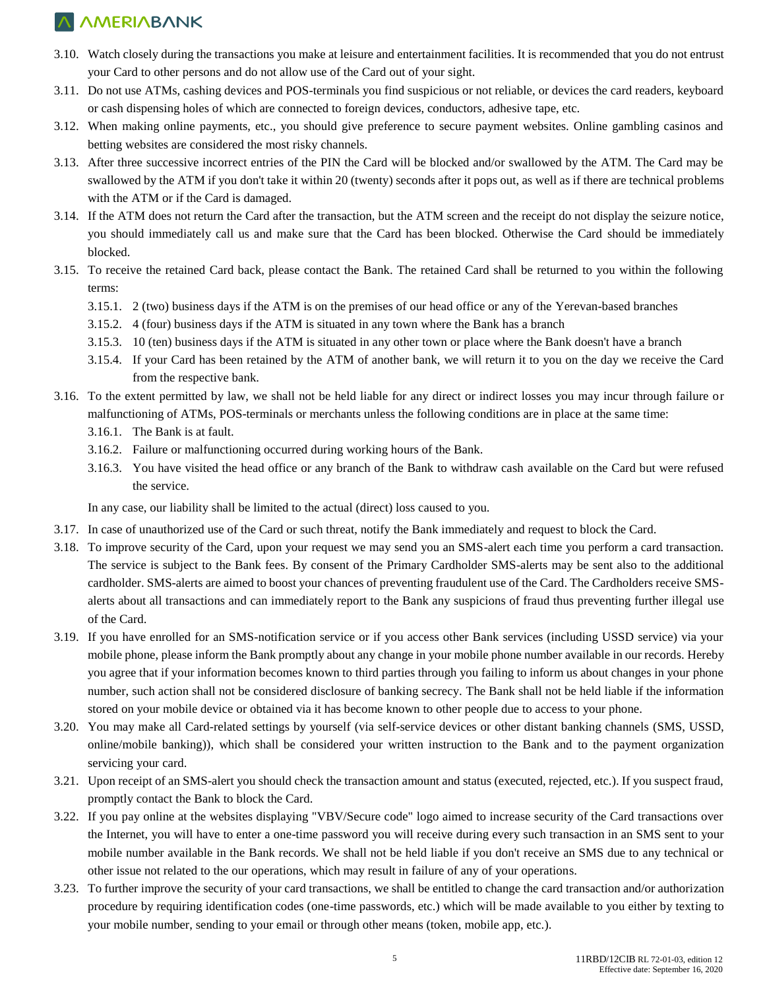- 3.10. Watch closely during the transactions you make at leisure and entertainment facilities. It is recommended that you do not entrust your Card to other persons and do not allow use of the Card out of your sight.
- 3.11. Do not use ATMs, cashing devices and POS-terminals you find suspicious or not reliable, or devices the card readers, keyboard or cash dispensing holes of which are connected to foreign devices, conductors, adhesive tape, etc.
- 3.12. When making online payments, etc., you should give preference to secure payment websites. Online gambling casinos and betting websites are considered the most risky channels.
- 3.13. After three successive incorrect entries of the PIN the Card will be blocked and/or swallowed by the ATM. The Card may be swallowed by the ATM if you don't take it within 20 (twenty) seconds after it pops out, as well as if there are technical problems with the ATM or if the Card is damaged.
- 3.14. If the ATM does not return the Card after the transaction, but the ATM screen and the receipt do not display the seizure notice, you should immediately call us and make sure that the Card has been blocked. Otherwise the Card should be immediately blocked.
- 3.15. To receive the retained Card back, please contact the Bank. The retained Card shall be returned to you within the following terms:
	- 3.15.1. 2 (two) business days if the ATM is on the premises of our head office or any of the Yerevan-based branches
	- 3.15.2. 4 (four) business days if the ATM is situated in any town where the Bank has a branch
	- 3.15.3. 10 (ten) business days if the ATM is situated in any other town or place where the Bank doesn't have a branch
	- 3.15.4. If your Card has been retained by the ATM of another bank, we will return it to you on the day we receive the Card from the respective bank.
- 3.16. To the extent permitted by law, we shall not be held liable for any direct or indirect losses you may incur through failure or malfunctioning of ATMs, POS-terminals or merchants unless the following conditions are in place at the same time:
	- 3.16.1. The Bank is at fault.
	- 3.16.2. Failure or malfunctioning occurred during working hours of the Bank.
	- 3.16.3. You have visited the head office or any branch of the Bank to withdraw cash available on the Card but were refused the service.

In any case, our liability shall be limited to the actual (direct) loss caused to you.

- 3.17. In case of unauthorized use of the Card or such threat, notify the Bank immediately and request to block the Card.
- 3.18. To improve security of the Card, upon your request we may send you an SMS-alert each time you perform a card transaction. The service is subject to the Bank fees. By consent of the Primary Cardholder SMS-alerts may be sent also to the additional cardholder. SMS-alerts are aimed to boost your chances of preventing fraudulent use of the Card. The Cardholders receive SMSalerts about all transactions and can immediately report to the Bank any suspicions of fraud thus preventing further illegal use of the Card.
- 3.19. If you have enrolled for an SMS-notification service or if you access other Bank services (including USSD service) via your mobile phone, please inform the Bank promptly about any change in your mobile phone number available in our records. Hereby you agree that if your information becomes known to third parties through you failing to inform us about changes in your phone number, such action shall not be considered disclosure of banking secrecy. The Bank shall not be held liable if the information stored on your mobile device or obtained via it has become known to other people due to access to your phone.
- 3.20. You may make all Card-related settings by yourself (via self-service devices or other distant banking channels (SMS, USSD, online/mobile banking)), which shall be considered your written instruction to the Bank and to the payment organization servicing your card.
- 3.21. Upon receipt of an SMS-alert you should check the transaction amount and status (executed, rejected, etc.). If you suspect fraud, promptly contact the Bank to block the Card.
- 3.22. If you pay online at the websites displaying "VBV/Secure code" logo aimed to increase security of the Card transactions over the Internet, you will have to enter a one-time password you will receive during every such transaction in an SMS sent to your mobile number available in the Bank records. We shall not be held liable if you don't receive an SMS due to any technical or other issue not related to the our operations, which may result in failure of any of your operations.
- 3.23. To further improve the security of your card transactions, we shall be entitled to change the card transaction and/or authorization procedure by requiring identification codes (one-time passwords, etc.) which will be made available to you either by texting to your mobile number, sending to your email or through other means (token, mobile app, etc.).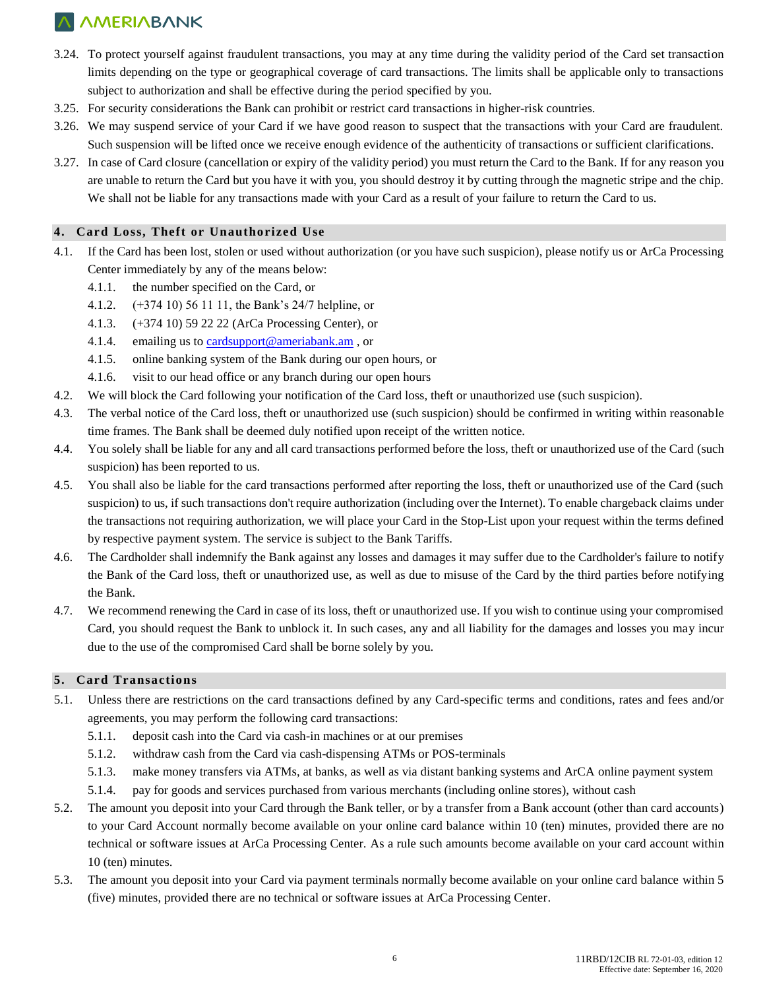- 3.24. To protect yourself against fraudulent transactions, you may at any time during the validity period of the Card set transaction limits depending on the type or geographical coverage of card transactions. The limits shall be applicable only to transactions subject to authorization and shall be effective during the period specified by you.
- 3.25. For security considerations the Bank can prohibit or restrict card transactions in higher-risk countries.
- 3.26. We may suspend service of your Card if we have good reason to suspect that the transactions with your Card are fraudulent. Such suspension will be lifted once we receive enough evidence of the authenticity of transactions or sufficient clarifications.
- 3.27. In case of Card closure (cancellation or expiry of the validity period) you must return the Card to the Bank. If for any reason you are unable to return the Card but you have it with you, you should destroy it by cutting through the magnetic stripe and the chip. We shall not be liable for any transactions made with your Card as a result of your failure to return the Card to us.

#### **4. Card Loss, Theft or Unauthorized Use**

- 4.1. If the Card has been lost, stolen or used without authorization (or you have such suspicion), please notify us or ArCa Processing Center immediately by any of the means below:
	- 4.1.1. the number specified on the Card, or
	- 4.1.2. (+374 10) 56 11 11, the Bank's 24/7 helpline, or
	- 4.1.3. (+374 10) 59 22 22 (ArCa Processing Center), or
	- 4.1.4. emailing us to [cardsupport@ameriabank.am](mailto:cardsupport@ameriabank.am) , or
	- 4.1.5. online banking system of the Bank during our open hours, or
	- 4.1.6. visit to our head office or any branch during our open hours
- 4.2. We will block the Card following your notification of the Card loss, theft or unauthorized use (such suspicion).
- 4.3. The verbal notice of the Card loss, theft or unauthorized use (such suspicion) should be confirmed in writing within reasonable time frames. The Bank shall be deemed duly notified upon receipt of the written notice.
- 4.4. You solely shall be liable for any and all card transactions performed before the loss, theft or unauthorized use of the Card (such suspicion) has been reported to us.
- 4.5. You shall also be liable for the card transactions performed after reporting the loss, theft or unauthorized use of the Card (such suspicion) to us, if such transactions don't require authorization (including over the Internet). To enable chargeback claims under the transactions not requiring authorization, we will place your Card in the Stop-List upon your request within the terms defined by respective payment system. The service is subject to the Bank Tariffs.
- 4.6. The Cardholder shall indemnify the Bank against any losses and damages it may suffer due to the Cardholder's failure to notify the Bank of the Card loss, theft or unauthorized use, as well as due to misuse of the Card by the third parties before notifying the Bank.
- 4.7. We recommend renewing the Card in case of its loss, theft or unauthorized use. If you wish to continue using your compromised Card, you should request the Bank to unblock it. In such cases, any and all liability for the damages and losses you may incur due to the use of the compromised Card shall be borne solely by you.

### **5. Card Transactions**

- 5.1. Unless there are restrictions on the card transactions defined by any Card-specific terms and conditions, rates and fees and/or agreements, you may perform the following card transactions:
	- 5.1.1. deposit cash into the Card via cash-in machines or at our premises
	- 5.1.2. withdraw cash from the Card via cash-dispensing ATMs or POS-terminals
	- 5.1.3. make money transfers via ATMs, at banks, as well as via distant banking systems and ArCA online payment system
	- 5.1.4. pay for goods and services purchased from various merchants (including online stores), without cash
- 5.2. The amount you deposit into your Card through the Bank teller, or by a transfer from a Bank account (other than card accounts) to your Card Account normally become available on your online card balance within 10 (ten) minutes, provided there are no technical or software issues at ArCa Processing Center. As a rule such amounts become available on your card account within 10 (ten) minutes.
- 5.3. The amount you deposit into your Card via payment terminals normally become available on your online card balance within 5 (five) minutes, provided there are no technical or software issues at ArCa Processing Center.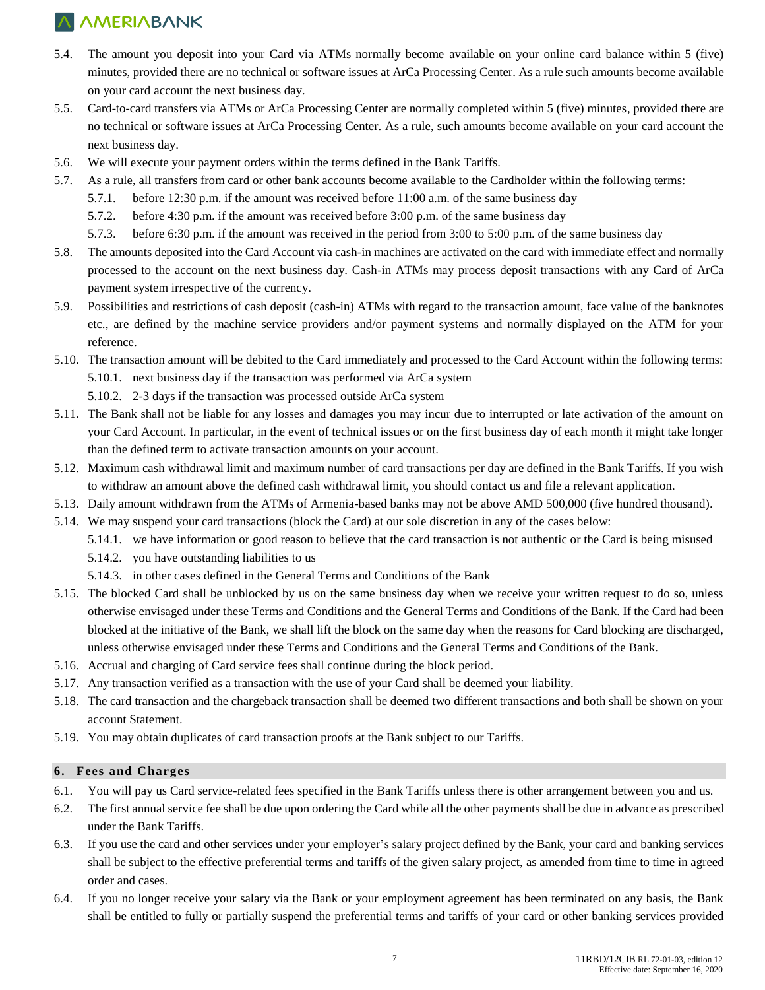- 5.4. The amount you deposit into your Card via ATMs normally become available on your online card balance within 5 (five) minutes, provided there are no technical or software issues at ArCa Processing Center. As a rule such amounts become available on your card account the next business day.
- 5.5. Card-to-card transfers via ATMs or ArCa Processing Center are normally completed within 5 (five) minutes, provided there are no technical or software issues at ArCa Processing Center. As a rule, such amounts become available on your card account the next business day.
- 5.6. We will execute your payment orders within the terms defined in the Bank Tariffs.
- 5.7. As a rule, all transfers from card or other bank accounts become available to the Cardholder within the following terms:
	- 5.7.1. before 12:30 p.m. if the amount was received before 11:00 a.m. of the same business day
	- 5.7.2. before 4:30 p.m. if the amount was received before 3:00 p.m. of the same business day
	- 5.7.3. before 6:30 p.m. if the amount was received in the period from 3:00 to 5:00 p.m. of the same business day
- 5.8. The amounts deposited into the Card Account via cash-in machines are activated on the card with immediate effect and normally processed to the account on the next business day. Cash-in ATMs may process deposit transactions with any Card of ArCa payment system irrespective of the currency.
- 5.9. Possibilities and restrictions of cash deposit (cash-in) ATMs with regard to the transaction amount, face value of the banknotes etc., are defined by the machine service providers and/or payment systems and normally displayed on the ATM for your reference.
- 5.10. The transaction amount will be debited to the Card immediately and processed to the Card Account within the following terms: 5.10.1. next business day if the transaction was performed via ArCa system
	- 5.10.2. 2-3 days if the transaction was processed outside ArCa system
- 5.11. The Bank shall not be liable for any losses and damages you may incur due to interrupted or late activation of the amount on your Card Account. In particular, in the event of technical issues or on the first business day of each month it might take longer than the defined term to activate transaction amounts on your account.
- 5.12. Maximum cash withdrawal limit and maximum number of card transactions per day are defined in the Bank Tariffs. If you wish to withdraw an amount above the defined cash withdrawal limit, you should contact us and file a relevant application.
- 5.13. Daily amount withdrawn from the ATMs of Armenia-based banks may not be above AMD 500,000 (five hundred thousand).
- 5.14. We may suspend your card transactions (block the Card) at our sole discretion in any of the cases below:
	- 5.14.1. we have information or good reason to believe that the card transaction is not authentic or the Card is being misused
	- 5.14.2. you have outstanding liabilities to us
	- 5.14.3. in other cases defined in the General Terms and Conditions of the Bank
- 5.15. The blocked Card shall be unblocked by us on the same business day when we receive your written request to do so, unless otherwise envisaged under these Terms and Conditions and the General Terms and Conditions of the Bank. If the Card had been blocked at the initiative of the Bank, we shall lift the block on the same day when the reasons for Card blocking are discharged, unless otherwise envisaged under these Terms and Conditions and the General Terms and Conditions of the Bank.
- 5.16. Accrual and charging of Card service fees shall continue during the block period.
- 5.17. Any transaction verified as a transaction with the use of your Card shall be deemed your liability.
- 5.18. The card transaction and the chargeback transaction shall be deemed two different transactions and both shall be shown on your account Statement.
- 5.19. You may obtain duplicates of card transaction proofs at the Bank subject to our Tariffs.

#### **6. Fees and Charges**

- 6.1. You will pay us Card service-related fees specified in the Bank Tariffs unless there is other arrangement between you and us.
- 6.2. The first annual service fee shall be due upon ordering the Card while all the other payments shall be due in advance as prescribed under the Bank Tariffs.
- 6.3. If you use the card and other services under your employer's salary project defined by the Bank, your card and banking services shall be subject to the effective preferential terms and tariffs of the given salary project, as amended from time to time in agreed order and cases.
- 6.4. If you no longer receive your salary via the Bank or your employment agreement has been terminated on any basis, the Bank shall be entitled to fully or partially suspend the preferential terms and tariffs of your card or other banking services provided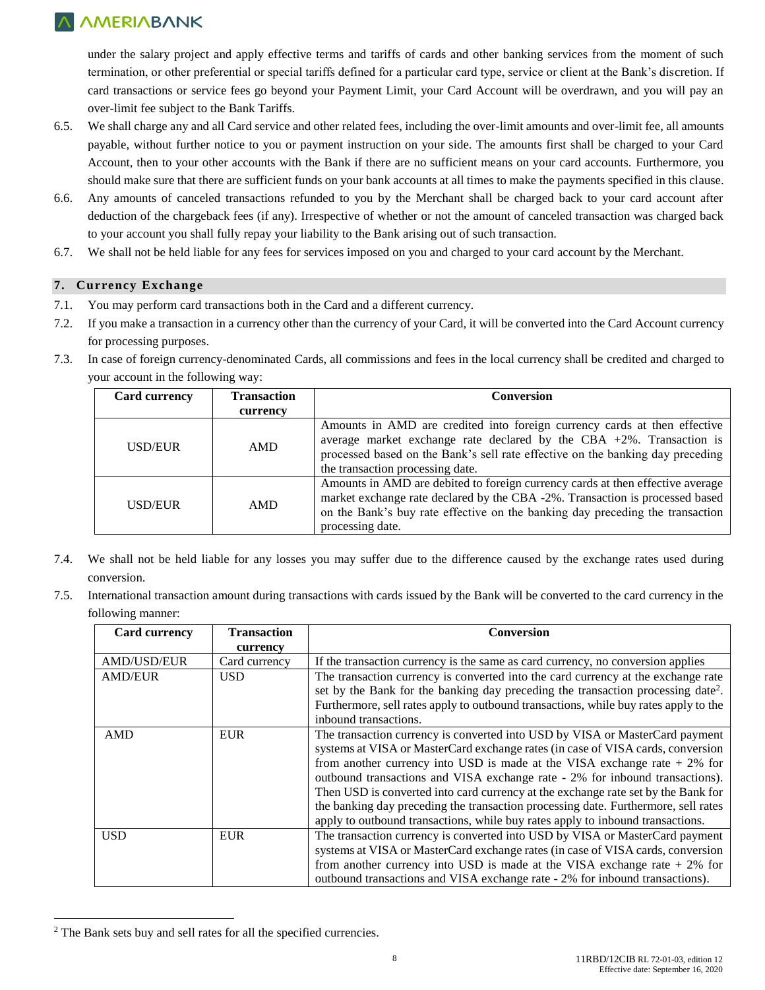under the salary project and apply effective terms and tariffs of cards and other banking services from the moment of such termination, or other preferential or special tariffs defined for a particular card type, service or client at the Bank's discretion. If card transactions or service fees go beyond your Payment Limit, your Card Account will be overdrawn, and you will pay an over-limit fee subject to the Bank Tariffs.

- 6.5. We shall charge any and all Card service and other related fees, including the over-limit amounts and over-limit fee, all amounts payable, without further notice to you or payment instruction on your side. The amounts first shall be charged to your Card Account, then to your other accounts with the Bank if there are no sufficient means on your card accounts. Furthermore, you should make sure that there are sufficient funds on your bank accounts at all times to make the payments specified in this clause.
- 6.6. Any amounts of canceled transactions refunded to you by the Merchant shall be charged back to your card account after deduction of the chargeback fees (if any). Irrespective of whether or not the amount of canceled transaction was charged back to your account you shall fully repay your liability to the Bank arising out of such transaction.
- 6.7. We shall not be held liable for any fees for services imposed on you and charged to your card account by the Merchant.

## **7. Currency Exchange**

- 7.1. You may perform card transactions both in the Card and a different currency.
- 7.2. If you make a transaction in a currency other than the currency of your Card, it will be converted into the Card Account currency for processing purposes.
- 7.3. In case of foreign currency-denominated Cards, all commissions and fees in the local currency shall be credited and charged to your account in the following way:

| Card currency | <b>Transaction</b> | <b>Conversion</b>                                                                                                                                                                                                                                                           |
|---------------|--------------------|-----------------------------------------------------------------------------------------------------------------------------------------------------------------------------------------------------------------------------------------------------------------------------|
|               | currency           |                                                                                                                                                                                                                                                                             |
| USD/EUR       | AMD                | Amounts in AMD are credited into foreign currency cards at then effective<br>average market exchange rate declared by the CBA $+2\%$ . Transaction is<br>processed based on the Bank's sell rate effective on the banking day preceding<br>the transaction processing date. |
| USD/EUR       | AMD                | Amounts in AMD are debited to foreign currency cards at then effective average<br>market exchange rate declared by the CBA -2%. Transaction is processed based<br>on the Bank's buy rate effective on the banking day preceding the transaction<br>processing date.         |

- 7.4. We shall not be held liable for any losses you may suffer due to the difference caused by the exchange rates used during conversion.
- 7.5. International transaction amount during transactions with cards issued by the Bank will be converted to the card currency in the following manner:

| <b>Card currency</b> | <b>Transaction</b> | <b>Conversion</b>                                                                            |
|----------------------|--------------------|----------------------------------------------------------------------------------------------|
|                      | currency           |                                                                                              |
| AMD/USD/EUR          | Card currency      | If the transaction currency is the same as card currency, no conversion applies              |
| <b>AMD/EUR</b>       | <b>USD</b>         | The transaction currency is converted into the card currency at the exchange rate            |
|                      |                    | set by the Bank for the banking day preceding the transaction processing date <sup>2</sup> . |
|                      |                    | Furthermore, sell rates apply to outbound transactions, while buy rates apply to the         |
|                      |                    | inbound transactions.                                                                        |
| <b>AMD</b>           | <b>EUR</b>         | The transaction currency is converted into USD by VISA or MasterCard payment                 |
|                      |                    | systems at VISA or MasterCard exchange rates (in case of VISA cards, conversion              |
|                      |                    | from another currency into USD is made at the VISA exchange rate $+2\%$ for                  |
|                      |                    | outbound transactions and VISA exchange rate - 2% for inbound transactions).                 |
|                      |                    | Then USD is converted into card currency at the exchange rate set by the Bank for            |
|                      |                    | the banking day preceding the transaction processing date. Furthermore, sell rates           |
|                      |                    | apply to outbound transactions, while buy rates apply to inbound transactions.               |
| <b>USD</b>           | <b>EUR</b>         | The transaction currency is converted into USD by VISA or MasterCard payment                 |
|                      |                    | systems at VISA or MasterCard exchange rates (in case of VISA cards, conversion              |
|                      |                    | from another currency into USD is made at the VISA exchange rate $+2\%$ for                  |
|                      |                    | outbound transactions and VISA exchange rate - 2% for inbound transactions).                 |

<sup>2</sup> The Bank sets buy and sell rates for all the specified currencies.

 $\overline{a}$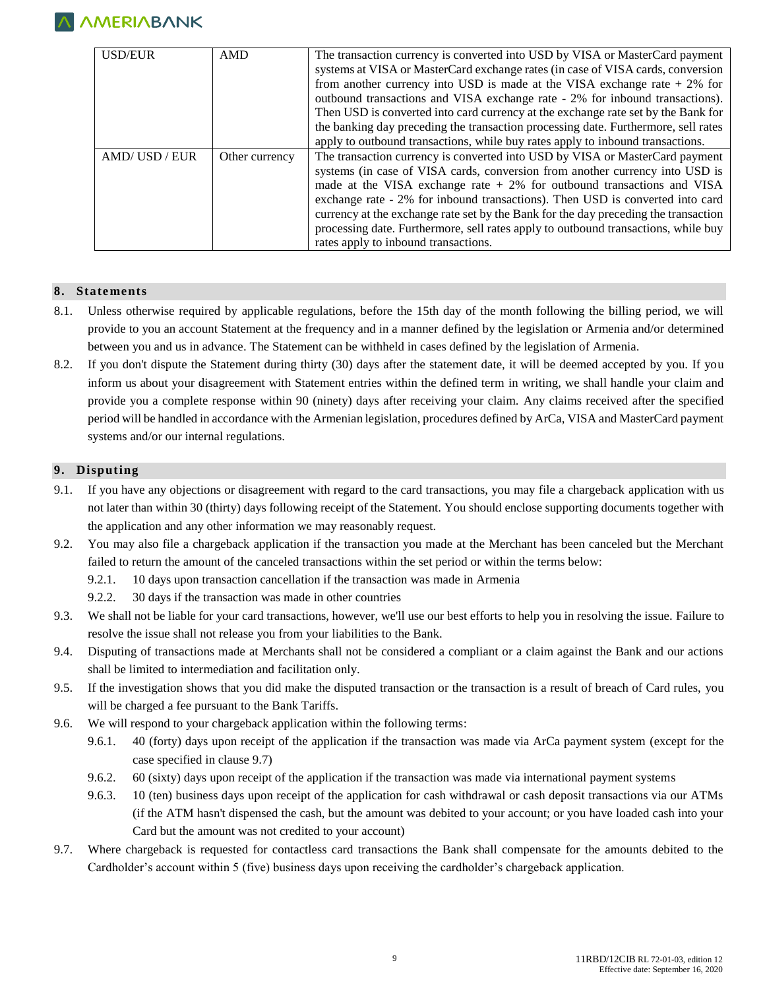

| <b>USD/EUR</b> | <b>AMD</b>     | The transaction currency is converted into USD by VISA or MasterCard payment        |
|----------------|----------------|-------------------------------------------------------------------------------------|
|                |                | systems at VISA or MasterCard exchange rates (in case of VISA cards, conversion     |
|                |                | from another currency into USD is made at the VISA exchange rate $+2\%$ for         |
|                |                | outbound transactions and VISA exchange rate - 2% for inbound transactions).        |
|                |                | Then USD is converted into card currency at the exchange rate set by the Bank for   |
|                |                | the banking day preceding the transaction processing date. Furthermore, sell rates  |
|                |                | apply to outbound transactions, while buy rates apply to inbound transactions.      |
| AMD/USD/EUR    |                |                                                                                     |
|                | Other currency | The transaction currency is converted into USD by VISA or MasterCard payment        |
|                |                | systems (in case of VISA cards, conversion from another currency into USD is        |
|                |                | made at the VISA exchange rate $+2\%$ for outbound transactions and VISA            |
|                |                | exchange rate - 2% for inbound transactions). Then USD is converted into card       |
|                |                | currency at the exchange rate set by the Bank for the day preceding the transaction |
|                |                | processing date. Furthermore, sell rates apply to outbound transactions, while buy  |

#### **8. Statements**

- 8.1. Unless otherwise required by applicable regulations, before the 15th day of the month following the billing period, we will provide to you an account Statement at the frequency and in a manner defined by the legislation or Armenia and/or determined between you and us in advance. The Statement can be withheld in cases defined by the legislation of Armenia.
- 8.2. If you don't dispute the Statement during thirty (30) days after the statement date, it will be deemed accepted by you. If you inform us about your disagreement with Statement entries within the defined term in writing, we shall handle your claim and provide you a complete response within 90 (ninety) days after receiving your claim. Any claims received after the specified period will be handled in accordance with the Armenian legislation, procedures defined by ArCa, VISA and MasterCard payment systems and/or our internal regulations.

#### **9. Disputing**

- 9.1. If you have any objections or disagreement with regard to the card transactions, you may file a chargeback application with us not later than within 30 (thirty) days following receipt of the Statement. You should enclose supporting documents together with the application and any other information we may reasonably request.
- 9.2. You may also file a chargeback application if the transaction you made at the Merchant has been canceled but the Merchant failed to return the amount of the canceled transactions within the set period or within the terms below:
	- 9.2.1. 10 days upon transaction cancellation if the transaction was made in Armenia
	- 9.2.2. 30 days if the transaction was made in other countries
- 9.3. We shall not be liable for your card transactions, however, we'll use our best efforts to help you in resolving the issue. Failure to resolve the issue shall not release you from your liabilities to the Bank.
- 9.4. Disputing of transactions made at Merchants shall not be considered a compliant or a claim against the Bank and our actions shall be limited to intermediation and facilitation only.
- 9.5. If the investigation shows that you did make the disputed transaction or the transaction is a result of breach of Card rules, you will be charged a fee pursuant to the Bank Tariffs.
- 9.6. We will respond to your chargeback application within the following terms:
	- 9.6.1. 40 (forty) days upon receipt of the application if the transaction was made via ArCa payment system (except for the case specified in clause 9.7)
	- 9.6.2. 60 (sixty) days upon receipt of the application if the transaction was made via international payment systems
	- 9.6.3. 10 (ten) business days upon receipt of the application for cash withdrawal or cash deposit transactions via our ATMs (if the ATM hasn't dispensed the cash, but the amount was debited to your account; or you have loaded cash into your Card but the amount was not credited to your account)
- 9.7. Where chargeback is requested for contactless card transactions the Bank shall compensate for the amounts debited to the Cardholder's account within 5 (five) business days upon receiving the cardholder's chargeback application.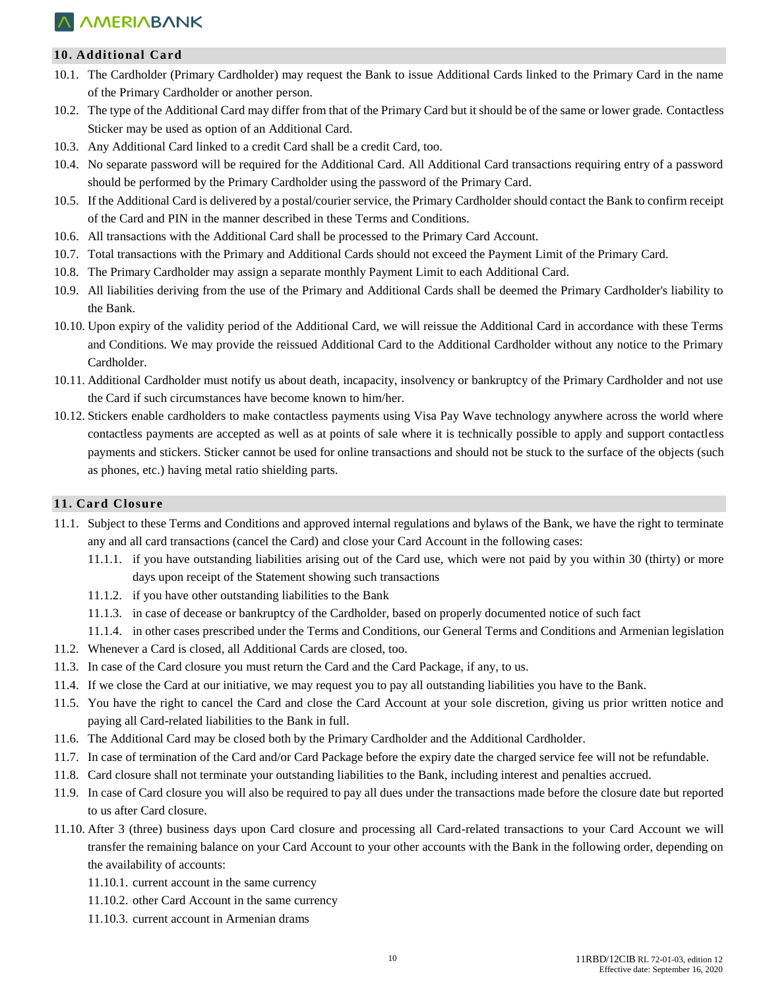## **10. Additional Card**

- 10.1. The Cardholder (Primary Cardholder) may request the Bank to issue Additional Cards linked to the Primary Card in the name of the Primary Cardholder or another person.
- 10.2. The type of the Additional Card may differ from that of the Primary Card but it should be of the same or lower grade. Contactless Sticker may be used as option of an Additional Card.
- 10.3. Any Additional Card linked to a credit Card shall be a credit Card, too.
- 10.4. No separate password will be required for the Additional Card. All Additional Card transactions requiring entry of a password should be performed by the Primary Cardholder using the password of the Primary Card.
- 10.5. If the Additional Card is delivered by a postal/courier service, the Primary Cardholder should contact the Bank to confirm receipt of the Card and PIN in the manner described in these Terms and Conditions.
- 10.6. All transactions with the Additional Card shall be processed to the Primary Card Account.
- 10.7. Total transactions with the Primary and Additional Cards should not exceed the Payment Limit of the Primary Card.
- 10.8. The Primary Cardholder may assign a separate monthly Payment Limit to each Additional Card.
- 10.9. All liabilities deriving from the use of the Primary and Additional Cards shall be deemed the Primary Cardholder's liability to the Bank.
- 10.10. Upon expiry of the validity period of the Additional Card, we will reissue the Additional Card in accordance with these Terms and Conditions. We may provide the reissued Additional Card to the Additional Cardholder without any notice to the Primary Cardholder.
- 10.11. Additional Cardholder must notify us about death, incapacity, insolvency or bankruptcy of the Primary Cardholder and not use the Card if such circumstances have become known to him/her.
- 10.12. Stickers enable cardholders to make contactless payments using Visa Pay Wave technology anywhere across the world where contactless payments are accepted as well as at points of sale where it is technically possible to apply and support contactless payments and stickers. Sticker cannot be used for online transactions and should not be stuck to the surface of the objects (such as phones, etc.) having metal ratio shielding parts.

#### **11. Card Closure**

- 11.1. Subject to these Terms and Conditions and approved internal regulations and bylaws of the Bank, we have the right to terminate any and all card transactions (cancel the Card) and close your Card Account in the following cases:
	- 11.1.1. if you have outstanding liabilities arising out of the Card use, which were not paid by you within 30 (thirty) or more days upon receipt of the Statement showing such transactions
	- 11.1.2. if you have other outstanding liabilities to the Bank
	- 11.1.3. in case of decease or bankruptcy of the Cardholder, based on properly documented notice of such fact
	- 11.1.4. in other cases prescribed under the Terms and Conditions, our General Terms and Conditions and Armenian legislation
- 11.2. Whenever a Card is closed, all Additional Cards are closed, too.
- 11.3. In case of the Card closure you must return the Card and the Card Package, if any, to us.
- 11.4. If we close the Card at our initiative, we may request you to pay all outstanding liabilities you have to the Bank.
- 11.5. You have the right to cancel the Card and close the Card Account at your sole discretion, giving us prior written notice and paying all Card-related liabilities to the Bank in full.
- 11.6. The Additional Card may be closed both by the Primary Cardholder and the Additional Cardholder.
- 11.7. In case of termination of the Card and/or Card Package before the expiry date the charged service fee will not be refundable.
- 11.8. Card closure shall not terminate your outstanding liabilities to the Bank, including interest and penalties accrued.
- 11.9. In case of Card closure you will also be required to pay all dues under the transactions made before the closure date but reported to us after Card closure.
- 11.10. After 3 (three) business days upon Card closure and processing all Card-related transactions to your Card Account we will transfer the remaining balance on your Card Account to your other accounts with the Bank in the following order, depending on the availability of accounts:
	- 11.10.1. current account in the same currency
	- 11.10.2. other Card Account in the same currency
	- 11.10.3. current account in Armenian drams